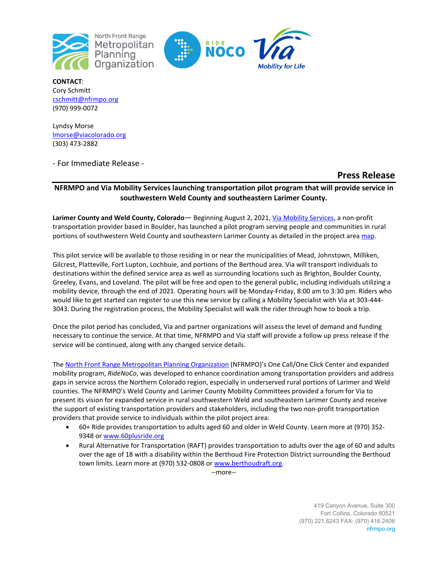

North Front Range Metropolitan Planning Organization



**CONTACT**: Cory Schmitt [cschmitt@nfrmpo.org](mailto:cschmitt@nfrmpo.org)  (970) 999-0072

Lyndsy Morse [lmorse@viacolorado.org](mailto:lmorse@viacolorado.org) (303) 473-2882

- For Immediate Release -

# **Press Release**

## **NFRMPO and Via Mobility Services launching transportation pilot program that will provide service in southwestern Weld County and southeastern Larimer County.**

**Larimer County and Weld County, Colorado**— Beginning August 2, 2021[, Via Mobility Services,](https://viacolorado.org/) a non-profit transportation provider based in Boulder, has launched a pilot program serving people and communities in rural portions of southwestern Weld County and southeastern Larimer County as detailed in the project area [map.](https://nfrmpo.org/wp-content/uploads/SW-Weld-Mobility-Project.pdf)

This pilot service will be available to those residing in or near the municipalities of Mead, Johnstown, Milliken, Gilcrest, Platteville, Fort Lupton, Lochbuie, and portions of the Berthoud area. Via will transport individuals to destinations within the defined service area as well as surrounding locations such as Brighton, Boulder County, Greeley, Evans, and Loveland. The pilot will be free and open to the general public, including individuals utilizing a mobility device, through the end of 2021. Operating hours will be Monday-Friday, 8:00 am to 3:30 pm. Riders who would like to get started can register to use this new service by calling a Mobility Specialist with Via at 303-444- 3043. During the registration process, the Mobility Specialist will walk the rider through how to book a trip.

Once the pilot period has concluded, Via and partner organizations will assess the level of demand and funding necessary to continue the service. At that time, NFRMPO and Via staff will provide a follow up press release if the service will be continued, along with any changed service details.

Th[e North Front Range Metropolitan Planning Organization](https://nfrmpo.org/mobility/) (NFRMPO)'s One Call/One Click Center and expanded mobility program, *RideNoCo*, was developed to enhance coordination among transportation providers and address gaps in service across the Northern Colorado region, especially in underserved rural portions of Larimer and Weld counties. The NFRMPO's Weld County and Larimer County Mobility Committees provided a forum for Via to present its vision for expanded service in rural southwestern Weld and southeastern Larimer County and receive the support of existing transportation providers and stakeholders, including the two non-profit transportation providers that provide service to individuals within the pilot project area:

- 60+ Ride provides transportation to adults aged 60 and older in Weld County. Learn more at (970) 352- 9348 o[r www.60plusride.org](http://www.60plusride.org/)
- Rural Alternative for Transportation (RAFT) provides transportation to adults over the age of 60 and adults over the age of 18 with a disability within the Berthoud Fire Protection District surrounding the Berthoud town limits. Learn more at (970) 532-0808 or [www.berthoudraft.org.](http://www.berthoudraft.org/)

--more--

419 Canyon Avenue, Suite 300 Fort Collins, Colorado 80521 (970) 221.6243 FAX: (970) 416.2406 nfrmpo.org